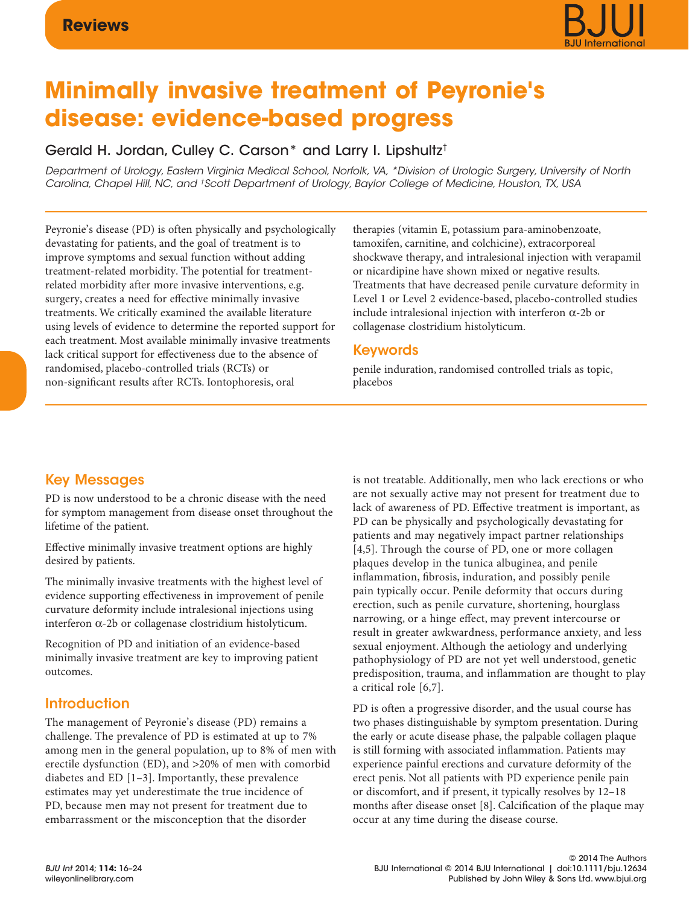# **Minimally invasive treatment of Peyronie's disease: evidence-based progress**

# Gerald H. Jordan, Culley C. Carson\* and Larry I. Lipshultz†

Department of Urology, Eastern Virginia Medical School, Norfolk, VA, \*Division of Urologic Surgery, University of North Carolina, Chapel Hill, NC, and †Scott Department of Urology, Baylor College of Medicine, Houston, TX, USA

Peyronie's disease (PD) is often physically and psychologically devastating for patients, and the goal of treatment is to improve symptoms and sexual function without adding treatment-related morbidity. The potential for treatmentrelated morbidity after more invasive interventions, e.g. surgery, creates a need for effective minimally invasive treatments. We critically examined the available literature using levels of evidence to determine the reported support for each treatment. Most available minimally invasive treatments lack critical support for effectiveness due to the absence of randomised, placebo-controlled trials (RCTs) or non-significant results after RCTs. Iontophoresis, oral

therapies (vitamin E, potassium para-aminobenzoate, tamoxifen, carnitine, and colchicine), extracorporeal shockwave therapy, and intralesional injection with verapamil or nicardipine have shown mixed or negative results. Treatments that have decreased penile curvature deformity in Level 1 or Level 2 evidence-based, placebo-controlled studies include intralesional injection with interferon α-2b or collagenase clostridium histolyticum.

### Keywords

penile induration, randomised controlled trials as topic, placebos

## Key Messages

PD is now understood to be a chronic disease with the need for symptom management from disease onset throughout the lifetime of the patient.

Effective minimally invasive treatment options are highly desired by patients.

The minimally invasive treatments with the highest level of evidence supporting effectiveness in improvement of penile curvature deformity include intralesional injections using interferon α-2b or collagenase clostridium histolyticum.

Recognition of PD and initiation of an evidence-based minimally invasive treatment are key to improving patient outcomes.

## Introduction

The management of Peyronie's disease (PD) remains a challenge. The prevalence of PD is estimated at up to 7% among men in the general population, up to 8% of men with erectile dysfunction (ED), and >20% of men with comorbid diabetes and ED [1–3]. Importantly, these prevalence estimates may yet underestimate the true incidence of PD, because men may not present for treatment due to embarrassment or the misconception that the disorder

is not treatable. Additionally, men who lack erections or who are not sexually active may not present for treatment due to lack of awareness of PD. Effective treatment is important, as PD can be physically and psychologically devastating for patients and may negatively impact partner relationships [4,5]. Through the course of PD, one or more collagen plaques develop in the tunica albuginea, and penile inflammation, fibrosis, induration, and possibly penile pain typically occur. Penile deformity that occurs during erection, such as penile curvature, shortening, hourglass narrowing, or a hinge effect, may prevent intercourse or result in greater awkwardness, performance anxiety, and less sexual enjoyment. Although the aetiology and underlying pathophysiology of PD are not yet well understood, genetic predisposition, trauma, and inflammation are thought to play a critical role [6,7].

PD is often a progressive disorder, and the usual course has two phases distinguishable by symptom presentation. During the early or acute disease phase, the palpable collagen plaque is still forming with associated inflammation. Patients may experience painful erections and curvature deformity of the erect penis. Not all patients with PD experience penile pain or discomfort, and if present, it typically resolves by 12–18 months after disease onset [8]. Calcification of the plaque may occur at any time during the disease course.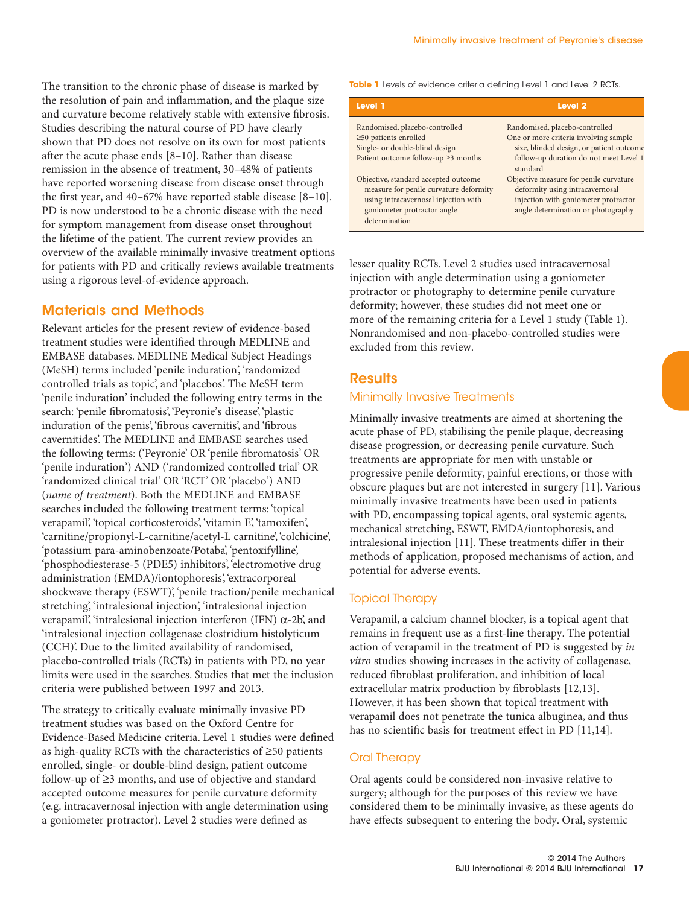The transition to the chronic phase of disease is marked by the resolution of pain and inflammation, and the plaque size and curvature become relatively stable with extensive fibrosis. Studies describing the natural course of PD have clearly shown that PD does not resolve on its own for most patients after the acute phase ends [8–10]. Rather than disease remission in the absence of treatment, 30–48% of patients have reported worsening disease from disease onset through the first year, and 40–67% have reported stable disease [8–10]. PD is now understood to be a chronic disease with the need for symptom management from disease onset throughout the lifetime of the patient. The current review provides an overview of the available minimally invasive treatment options for patients with PD and critically reviews available treatments using a rigorous level-of-evidence approach.

#### Materials and Methods

Relevant articles for the present review of evidence-based treatment studies were identified through MEDLINE and EMBASE databases. MEDLINE Medical Subject Headings (MeSH) terms included 'penile induration', 'randomized controlled trials as topic', and 'placebos'. The MeSH term 'penile induration' included the following entry terms in the search: 'penile fibromatosis', 'Peyronie's disease', 'plastic induration of the penis', 'fibrous cavernitis', and 'fibrous cavernitides'. The MEDLINE and EMBASE searches used the following terms: ('Peyronie' OR 'penile fibromatosis' OR 'penile induration') AND ('randomized controlled trial' OR 'randomized clinical trial' OR 'RCT' OR 'placebo') AND (*name of treatment*). Both the MEDLINE and EMBASE searches included the following treatment terms: 'topical verapamil', 'topical corticosteroids', 'vitamin E', 'tamoxifen', 'carnitine/propionyl-L-carnitine/acetyl-L carnitine', 'colchicine', 'potassium para-aminobenzoate/Potaba', 'pentoxifylline', 'phosphodiesterase-5 (PDE5) inhibitors', 'electromotive drug administration (EMDA)/iontophoresis', 'extracorporeal shockwave therapy (ESWT)', 'penile traction/penile mechanical stretching', 'intralesional injection', 'intralesional injection verapamil', 'intralesional injection interferon (IFN) α-2b', and 'intralesional injection collagenase clostridium histolyticum (CCH)'. Due to the limited availability of randomised, placebo-controlled trials (RCTs) in patients with PD, no year limits were used in the searches. Studies that met the inclusion criteria were published between 1997 and 2013.

The strategy to critically evaluate minimally invasive PD treatment studies was based on the Oxford Centre for Evidence-Based Medicine criteria. Level 1 studies were defined as high-quality RCTs with the characteristics of ≥50 patients enrolled, single- or double-blind design, patient outcome follow-up of ≥3 months, and use of objective and standard accepted outcome measures for penile curvature deformity (e.g. intracavernosal injection with angle determination using a goniometer protractor). Level 2 studies were defined as

**Table 1** Levels of evidence criteria defining Level 1 and Level 2 RCTs.

| Level 1                                                                                                                | Level <sub>2</sub>                                                                                                |
|------------------------------------------------------------------------------------------------------------------------|-------------------------------------------------------------------------------------------------------------------|
| Randomised, placebo-controlled                                                                                         | Randomised, placebo-controlled                                                                                    |
| $\geq$ 50 patients enrolled                                                                                            | One or more criteria involving sample                                                                             |
| Single- or double-blind design                                                                                         | size, blinded design, or patient outcome                                                                          |
| Patient outcome follow-up $\geq$ 3 months                                                                              | follow-up duration do not meet Level 1<br>standard                                                                |
| Objective, standard accepted outcome<br>measure for penile curvature deformity<br>using intracavernosal injection with | Objective measure for penile curvature<br>deformity using intracavernosal<br>injection with goniometer protractor |
| goniometer protractor angle<br>determination                                                                           | angle determination or photography                                                                                |

lesser quality RCTs. Level 2 studies used intracavernosal injection with angle determination using a goniometer protractor or photography to determine penile curvature deformity; however, these studies did not meet one or more of the remaining criteria for a Level 1 study (Table 1). Nonrandomised and non-placebo-controlled studies were excluded from this review.

#### **Results**

#### Minimally Invasive Treatments

Minimally invasive treatments are aimed at shortening the acute phase of PD, stabilising the penile plaque, decreasing disease progression, or decreasing penile curvature. Such treatments are appropriate for men with unstable or progressive penile deformity, painful erections, or those with obscure plaques but are not interested in surgery [11]. Various minimally invasive treatments have been used in patients with PD, encompassing topical agents, oral systemic agents, mechanical stretching, ESWT, EMDA/iontophoresis, and intralesional injection [11]. These treatments differ in their methods of application, proposed mechanisms of action, and potential for adverse events.

#### Topical Therapy

Verapamil, a calcium channel blocker, is a topical agent that remains in frequent use as a first-line therapy. The potential action of verapamil in the treatment of PD is suggested by *in vitro* studies showing increases in the activity of collagenase, reduced fibroblast proliferation, and inhibition of local extracellular matrix production by fibroblasts [12,13]. However, it has been shown that topical treatment with verapamil does not penetrate the tunica albuginea, and thus has no scientific basis for treatment effect in PD [11,14].

#### Oral Therapy

Oral agents could be considered non-invasive relative to surgery; although for the purposes of this review we have considered them to be minimally invasive, as these agents do have effects subsequent to entering the body. Oral, systemic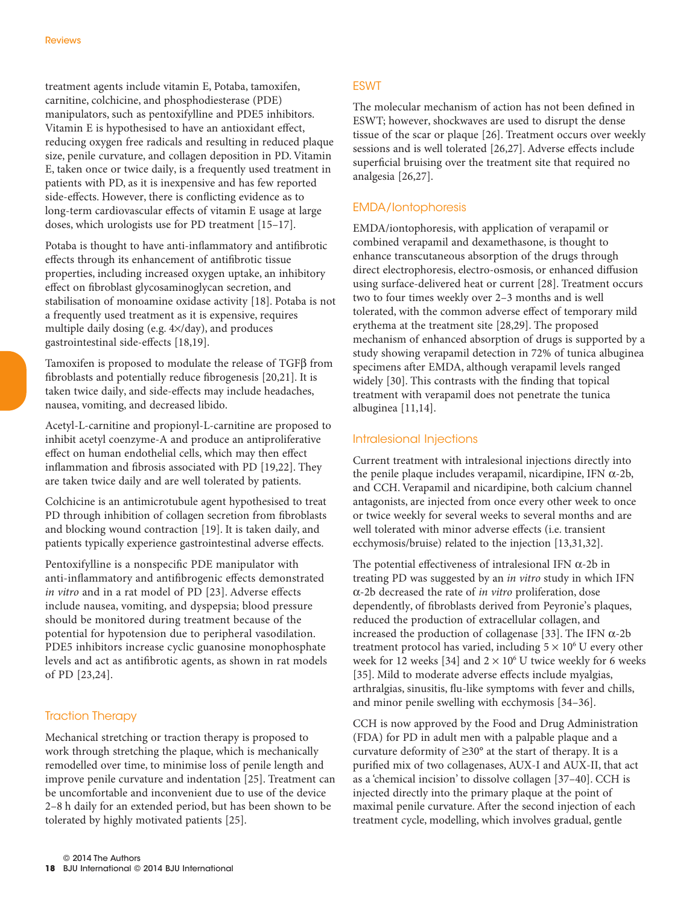treatment agents include vitamin E, Potaba, tamoxifen, carnitine, colchicine, and phosphodiesterase (PDE) manipulators, such as pentoxifylline and PDE5 inhibitors. Vitamin E is hypothesised to have an antioxidant effect, reducing oxygen free radicals and resulting in reduced plaque size, penile curvature, and collagen deposition in PD. Vitamin E, taken once or twice daily, is a frequently used treatment in patients with PD, as it is inexpensive and has few reported side-effects. However, there is conflicting evidence as to long-term cardiovascular effects of vitamin E usage at large doses, which urologists use for PD treatment [15–17].

Potaba is thought to have anti-inflammatory and antifibrotic effects through its enhancement of antifibrotic tissue properties, including increased oxygen uptake, an inhibitory effect on fibroblast glycosaminoglycan secretion, and stabilisation of monoamine oxidase activity [18]. Potaba is not a frequently used treatment as it is expensive, requires multiple daily dosing (e.g. 4×/day), and produces gastrointestinal side-effects [18,19].

Tamoxifen is proposed to modulate the release of TGFβ from fibroblasts and potentially reduce fibrogenesis [20,21]. It is taken twice daily, and side-effects may include headaches, nausea, vomiting, and decreased libido.

Acetyl-L-carnitine and propionyl-L-carnitine are proposed to inhibit acetyl coenzyme-A and produce an antiproliferative effect on human endothelial cells, which may then effect inflammation and fibrosis associated with PD [19,22]. They are taken twice daily and are well tolerated by patients.

Colchicine is an antimicrotubule agent hypothesised to treat PD through inhibition of collagen secretion from fibroblasts and blocking wound contraction [19]. It is taken daily, and patients typically experience gastrointestinal adverse effects.

Pentoxifylline is a nonspecific PDE manipulator with anti-inflammatory and antifibrogenic effects demonstrated *in vitro* and in a rat model of PD [23]. Adverse effects include nausea, vomiting, and dyspepsia; blood pressure should be monitored during treatment because of the potential for hypotension due to peripheral vasodilation. PDE5 inhibitors increase cyclic guanosine monophosphate levels and act as antifibrotic agents, as shown in rat models of PD [23,24].

#### Traction Therapy

Mechanical stretching or traction therapy is proposed to work through stretching the plaque, which is mechanically remodelled over time, to minimise loss of penile length and improve penile curvature and indentation [25]. Treatment can be uncomfortable and inconvenient due to use of the device 2–8 h daily for an extended period, but has been shown to be tolerated by highly motivated patients [25].

#### **ESWT**

The molecular mechanism of action has not been defined in ESWT; however, shockwaves are used to disrupt the dense tissue of the scar or plaque [26]. Treatment occurs over weekly sessions and is well tolerated [26,27]. Adverse effects include superficial bruising over the treatment site that required no analgesia [26,27].

#### EMDA/Iontophoresis

EMDA/iontophoresis, with application of verapamil or combined verapamil and dexamethasone, is thought to enhance transcutaneous absorption of the drugs through direct electrophoresis, electro-osmosis, or enhanced diffusion using surface-delivered heat or current [28]. Treatment occurs two to four times weekly over 2–3 months and is well tolerated, with the common adverse effect of temporary mild erythema at the treatment site [28,29]. The proposed mechanism of enhanced absorption of drugs is supported by a study showing verapamil detection in 72% of tunica albuginea specimens after EMDA, although verapamil levels ranged widely [30]. This contrasts with the finding that topical treatment with verapamil does not penetrate the tunica albuginea [11,14].

#### Intralesional Injections

Current treatment with intralesional injections directly into the penile plaque includes verapamil, nicardipine, IFN  $α-2b$ , and CCH. Verapamil and nicardipine, both calcium channel antagonists, are injected from once every other week to once or twice weekly for several weeks to several months and are well tolerated with minor adverse effects (i.e. transient ecchymosis/bruise) related to the injection [13,31,32].

The potential effectiveness of intralesional IFN  $\alpha$ -2b in treating PD was suggested by an *in vitro* study in which IFN α-2b decreased the rate of *in vitro* proliferation, dose dependently, of fibroblasts derived from Peyronie's plaques, reduced the production of extracellular collagen, and increased the production of collagenase [33]. The IFN α-2b treatment protocol has varied, including  $5 \times 10^6$  U every other week for 12 weeks [34] and  $2 \times 10^6$  U twice weekly for 6 weeks [35]. Mild to moderate adverse effects include myalgias, arthralgias, sinusitis, flu-like symptoms with fever and chills, and minor penile swelling with ecchymosis [34–36].

CCH is now approved by the Food and Drug Administration (FDA) for PD in adult men with a palpable plaque and a curvature deformity of  $\geq 30^{\circ}$  at the start of therapy. It is a purified mix of two collagenases, AUX-I and AUX-II, that act as a 'chemical incision' to dissolve collagen [37–40]. CCH is injected directly into the primary plaque at the point of maximal penile curvature. After the second injection of each treatment cycle, modelling, which involves gradual, gentle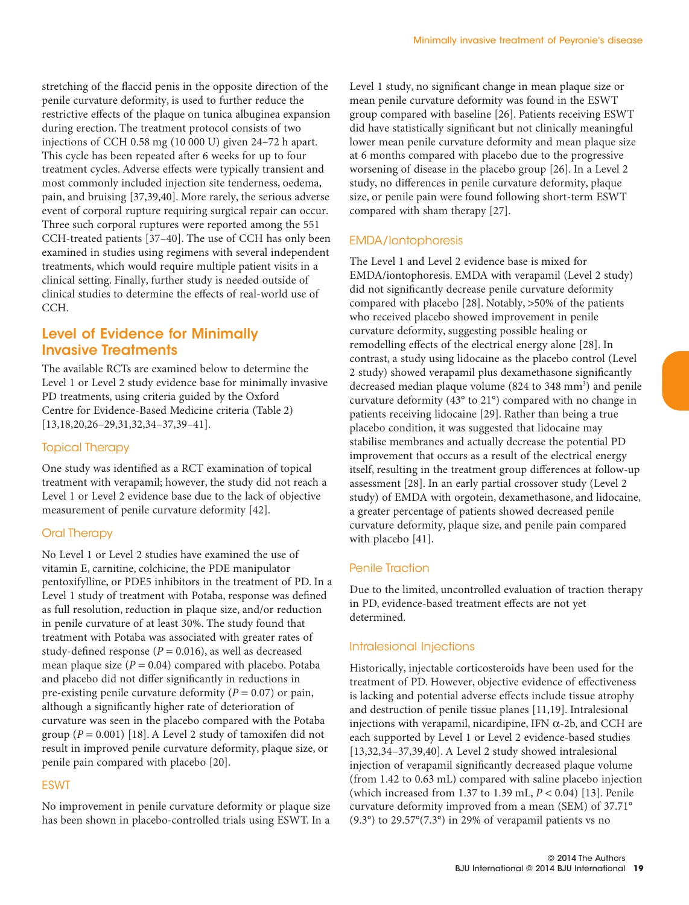stretching of the flaccid penis in the opposite direction of the penile curvature deformity, is used to further reduce the restrictive effects of the plaque on tunica albuginea expansion during erection. The treatment protocol consists of two injections of CCH 0.58 mg (10 000 U) given 24–72 h apart. This cycle has been repeated after 6 weeks for up to four treatment cycles. Adverse effects were typically transient and most commonly included injection site tenderness, oedema, pain, and bruising [37,39,40]. More rarely, the serious adverse event of corporal rupture requiring surgical repair can occur. Three such corporal ruptures were reported among the 551 CCH-treated patients [37–40]. The use of CCH has only been examined in studies using regimens with several independent treatments, which would require multiple patient visits in a clinical setting. Finally, further study is needed outside of clinical studies to determine the effects of real-world use of CCH.

## Level of Evidence for Minimally Invasive Treatments

The available RCTs are examined below to determine the Level 1 or Level 2 study evidence base for minimally invasive PD treatments, using criteria guided by the Oxford Centre for Evidence-Based Medicine criteria (Table 2) [13,18,20,26–29,31,32,34–37,39–41].

#### Topical Therapy

One study was identified as a RCT examination of topical treatment with verapamil; however, the study did not reach a Level 1 or Level 2 evidence base due to the lack of objective measurement of penile curvature deformity [42].

#### Oral Therapy

No Level 1 or Level 2 studies have examined the use of vitamin E, carnitine, colchicine, the PDE manipulator pentoxifylline, or PDE5 inhibitors in the treatment of PD. In a Level 1 study of treatment with Potaba, response was defined as full resolution, reduction in plaque size, and/or reduction in penile curvature of at least 30%. The study found that treatment with Potaba was associated with greater rates of study-defined response ( $P = 0.016$ ), as well as decreased mean plaque size  $(P = 0.04)$  compared with placebo. Potaba and placebo did not differ significantly in reductions in pre-existing penile curvature deformity (*P* = 0.07) or pain, although a significantly higher rate of deterioration of curvature was seen in the placebo compared with the Potaba group  $(P = 0.001)$  [18]. A Level 2 study of tamoxifen did not result in improved penile curvature deformity, plaque size, or penile pain compared with placebo [20].

#### ESWT

No improvement in penile curvature deformity or plaque size has been shown in placebo-controlled trials using ESWT. In a

Level 1 study, no significant change in mean plaque size or mean penile curvature deformity was found in the ESWT group compared with baseline [26]. Patients receiving ESWT did have statistically significant but not clinically meaningful lower mean penile curvature deformity and mean plaque size at 6 months compared with placebo due to the progressive worsening of disease in the placebo group [26]. In a Level 2 study, no differences in penile curvature deformity, plaque size, or penile pain were found following short-term ESWT compared with sham therapy [27].

#### EMDA/Iontophoresis

The Level 1 and Level 2 evidence base is mixed for EMDA/iontophoresis. EMDA with verapamil (Level 2 study) did not significantly decrease penile curvature deformity compared with placebo [28]. Notably, >50% of the patients who received placebo showed improvement in penile curvature deformity, suggesting possible healing or remodelling effects of the electrical energy alone [28]. In contrast, a study using lidocaine as the placebo control (Level 2 study) showed verapamil plus dexamethasone significantly decreased median plaque volume (824 to 348 mm<sup>3</sup>) and penile curvature deformity (43° to 21°) compared with no change in patients receiving lidocaine [29]. Rather than being a true placebo condition, it was suggested that lidocaine may stabilise membranes and actually decrease the potential PD improvement that occurs as a result of the electrical energy itself, resulting in the treatment group differences at follow-up assessment [28]. In an early partial crossover study (Level 2 study) of EMDA with orgotein, dexamethasone, and lidocaine, a greater percentage of patients showed decreased penile curvature deformity, plaque size, and penile pain compared with placebo [41].

#### Penile Traction

Due to the limited, uncontrolled evaluation of traction therapy in PD, evidence-based treatment effects are not yet determined.

#### Intralesional Injections

Historically, injectable corticosteroids have been used for the treatment of PD. However, objective evidence of effectiveness is lacking and potential adverse effects include tissue atrophy and destruction of penile tissue planes [11,19]. Intralesional injections with verapamil, nicardipine, IFN α-2b, and CCH are each supported by Level 1 or Level 2 evidence-based studies [13,32,34–37,39,40]. A Level 2 study showed intralesional injection of verapamil significantly decreased plaque volume (from 1.42 to 0.63 mL) compared with saline placebo injection (which increased from 1.37 to 1.39 mL, *P* < 0.04) [13]. Penile curvature deformity improved from a mean (SEM) of 37.71° (9.3°) to 29.57°(7.3°) in 29% of verapamil patients vs no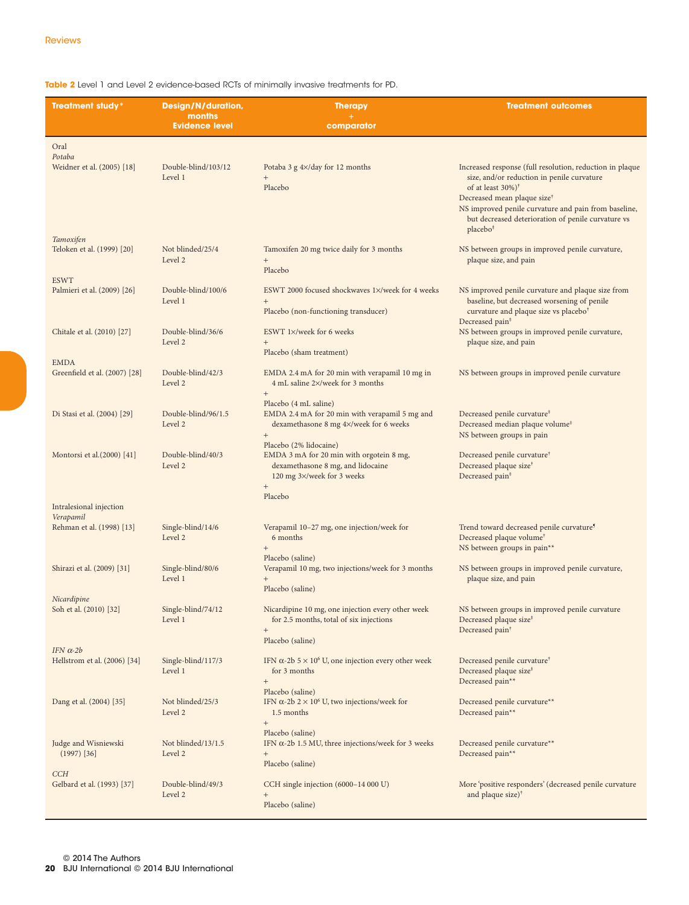**Table 2** Level 1 and Level 2 evidence-based RCTs of minimally invasive treatments for PD.

| <b>Treatment study*</b>                          | Design/N/duration,              | <b>Therapy</b>                                                                                                                        | <b>Treatment outcomes</b>                                                                                                                                                                                                                                                                                                |
|--------------------------------------------------|---------------------------------|---------------------------------------------------------------------------------------------------------------------------------------|--------------------------------------------------------------------------------------------------------------------------------------------------------------------------------------------------------------------------------------------------------------------------------------------------------------------------|
|                                                  | months<br><b>Evidence level</b> | comparator                                                                                                                            |                                                                                                                                                                                                                                                                                                                          |
| Oral                                             |                                 |                                                                                                                                       |                                                                                                                                                                                                                                                                                                                          |
| Potaba<br>Weidner et al. (2005) [18]             | Double-blind/103/12<br>Level 1  | Potaba 3 $g \frac{4}{3}$ day for 12 months<br>$^{+}$<br>Placebo                                                                       | Increased response (full resolution, reduction in plaque<br>size, and/or reduction in penile curvature<br>of at least 30%) <sup>†</sup><br>Decreased mean plaque size <sup>†</sup><br>NS improved penile curvature and pain from baseline,<br>but decreased deterioration of penile curvature vs<br>placebo <sup>#</sup> |
| Tamoxifen<br>Teloken et al. (1999) [20]          | Not blinded/25/4<br>Level 2     | Tamoxifen 20 mg twice daily for 3 months<br>$^{+}$<br>Placebo                                                                         | NS between groups in improved penile curvature,<br>plaque size, and pain                                                                                                                                                                                                                                                 |
| <b>ESWT</b>                                      |                                 |                                                                                                                                       |                                                                                                                                                                                                                                                                                                                          |
| Palmieri et al. (2009) [26]                      | Double-blind/100/6<br>Level 1   | ESWT 2000 focused shockwaves 1×/week for 4 weeks<br>$\! +$<br>Placebo (non-functioning transducer)                                    | NS improved penile curvature and plaque size from<br>baseline, but decreased worsening of penile<br>curvature and plaque size vs placebo <sup>†</sup>                                                                                                                                                                    |
| Chitale et al. (2010) [27]                       | Double-blind/36/6<br>Level 2    | ESWT 1×/week for 6 weeks<br>$^{+}$<br>Placebo (sham treatment)                                                                        | Decreased pain <sup>#</sup><br>NS between groups in improved penile curvature,<br>plaque size, and pain                                                                                                                                                                                                                  |
| <b>EMDA</b><br>Greenfield et al. (2007) [28]     | Double-blind/42/3<br>Level 2    | EMDA 2.4 mA for 20 min with verapamil 10 mg in<br>4 mL saline 2×/week for 3 months                                                    | NS between groups in improved penile curvature                                                                                                                                                                                                                                                                           |
| Di Stasi et al. (2004) [29]                      | Double-blind/96/1.5<br>Level 2  | $^{+}$<br>Placebo (4 mL saline)<br>EMDA 2.4 mA for 20 min with verapamil 5 mg and<br>dexamethasone 8 mg 4×/week for 6 weeks<br>$\! +$ | Decreased penile curvature <sup>#</sup><br>Decreased median plaque volume <sup>#</sup><br>NS between groups in pain                                                                                                                                                                                                      |
| Montorsi et al. (2000) [41]                      | Double-blind/40/3<br>Level 2    | Placebo (2% lidocaine)<br>EMDA 3 mA for 20 min with orgotein 8 mg,<br>dexamethasone 8 mg, and lidocaine<br>120 mg 3×/week for 3 weeks | Decreased penile curvature <sup>†</sup><br>Decreased plaque size <sup>†</sup><br>Decreased pain <sup>#</sup>                                                                                                                                                                                                             |
|                                                  |                                 | $\qquad \qquad +$<br>Placebo                                                                                                          |                                                                                                                                                                                                                                                                                                                          |
| Intralesional injection<br>Verapamil             |                                 |                                                                                                                                       |                                                                                                                                                                                                                                                                                                                          |
| Rehman et al. (1998) [13]                        | Single-blind/14/6<br>Level 2    | Verapamil 10-27 mg, one injection/week for<br>6 months                                                                                | Trend toward decreased penile curvature <sup>5</sup><br>Decreased plaque volume <sup>†</sup>                                                                                                                                                                                                                             |
| Shirazi et al. (2009) [31]                       | Single-blind/80/6<br>Level 1    | $\qquad \qquad +$<br>Placebo (saline)<br>Verapamil 10 mg, two injections/week for 3 months<br>$\! + \!\!\!\!$<br>Placebo (saline)     | NS between groups in pain**<br>NS between groups in improved penile curvature,<br>plaque size, and pain                                                                                                                                                                                                                  |
| Nicardipine<br>Soh et al. (2010) [32]            | Single-blind/74/12<br>Level 1   | Nicardipine 10 mg, one injection every other week<br>for 2.5 months, total of six injections<br>$^{+}$                                | NS between groups in improved penile curvature<br>Decreased plaque size <sup>#</sup><br>Decreased pain <sup>†</sup>                                                                                                                                                                                                      |
|                                                  |                                 | Placebo (saline)                                                                                                                      |                                                                                                                                                                                                                                                                                                                          |
| IFN $\alpha$ -2b<br>Hellstrom et al. (2006) [34] | Single-blind/117/3<br>Level 1   | IFN $\alpha$ -2b 5 × 10 <sup>6</sup> U, one injection every other week<br>for 3 months<br>$\qquad \qquad +$                           | Decreased penile curvature <sup>†</sup><br>Decreased plaque size <sup>#</sup><br>Decreased pain**                                                                                                                                                                                                                        |
| Dang et al. (2004) [35]                          | Not blinded/25/3<br>Level 2     | Placebo (saline)<br>IFN α-2b 2 × 10 <sup>6</sup> U, two injections/week for<br>1.5 months<br>$^{+}$                                   | Decreased penile curvature**<br>Decreased pain**                                                                                                                                                                                                                                                                         |
| Judge and Wisniewski<br>$(1997)$ [36]            | Not blinded/13/1.5<br>Level 2   | Placebo (saline)<br>IFN $\alpha$ -2b 1.5 MU, three injections/week for 3 weeks<br>$\! + \!\!\!\!$<br>Placebo (saline)                 | Decreased penile curvature**<br>Decreased pain**                                                                                                                                                                                                                                                                         |
| <b>CCH</b><br>Gelbard et al. (1993) [37]         | Double-blind/49/3<br>Level 2    | CCH single injection (6000-14 000 U)<br>$^{+}$<br>Placebo (saline)                                                                    | More 'positive responders' (decreased penile curvature<br>and plaque size $)^{\dagger}$                                                                                                                                                                                                                                  |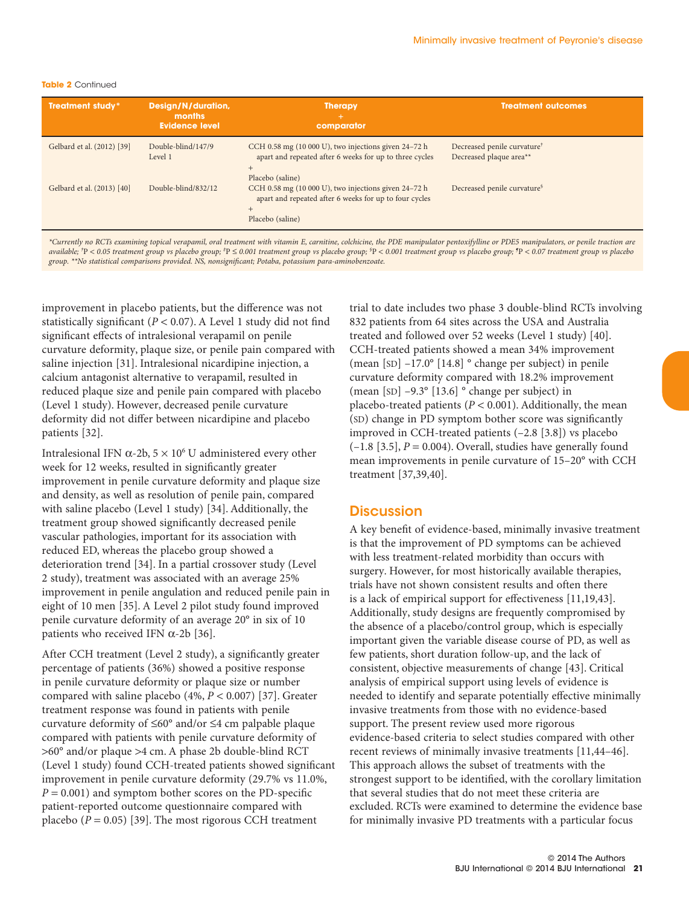#### **Table 2** Continued

| <b>Treatment study*</b>                                                                                                                                                           | Design/N/duration,<br>months<br><b>Evidence level</b> | <b>Therapy</b><br>comparator                                                                                                                         | <b>Treatment outcomes</b>                                          |  |
|-----------------------------------------------------------------------------------------------------------------------------------------------------------------------------------|-------------------------------------------------------|------------------------------------------------------------------------------------------------------------------------------------------------------|--------------------------------------------------------------------|--|
| Gelbard et al. (2012) [39]                                                                                                                                                        | Double-blind/147/9<br>Level 1                         | CCH $0.58 \text{ mg}$ (10 000 U), two injections given 24–72 h<br>apart and repeated after 6 weeks for up to three cycles<br>$+$<br>Placebo (saline) | Decreased penile curvature <sup>†</sup><br>Decreased plaque area** |  |
| Gelbard et al. (2013) [40]                                                                                                                                                        | Double-blind/832/12                                   | CCH 0.58 mg (10 000 U), two injections given $24-72$ h<br>apart and repeated after 6 weeks for up to four cycles<br>$+$<br>Placebo (saline)          | Decreased penile curvature <sup>§</sup>                            |  |
| *Covered us DCTs examining topical weaponil, and tracturent with witamin E, counting, colohising, the DDE manipulater portarifulling or DDEE manipulaters, or paulin traction are |                                                       |                                                                                                                                                      |                                                                    |  |

*\*Currently no RCTs examining topical verapamil, oral treatment with vitamin E, carnitine, colchicine, the PDE manipulator pentoxifylline or PDE5 manipulators, or penile traction are* available; 'P < 0.05 treatment group vs placebo group; \*P ≤ 0.001 treatment group vs placebo group; \*P < 0.001 treatment group vs placebo group; \*P < 0.001 treatment group vs placebo group; \*P < 0.07 treatment group vs pla *group. \*\*No statistical comparisons provided. NS, nonsignificant; Potaba, potassium para-aminobenzoate.*

improvement in placebo patients, but the difference was not statistically significant ( $P < 0.07$ ). A Level 1 study did not find significant effects of intralesional verapamil on penile curvature deformity, plaque size, or penile pain compared with saline injection [31]. Intralesional nicardipine injection, a calcium antagonist alternative to verapamil, resulted in reduced plaque size and penile pain compared with placebo (Level 1 study). However, decreased penile curvature deformity did not differ between nicardipine and placebo patients [32].

Intralesional IFN  $\alpha$ -2b,  $5 \times 10^6$  U administered every other week for 12 weeks, resulted in significantly greater improvement in penile curvature deformity and plaque size and density, as well as resolution of penile pain, compared with saline placebo (Level 1 study) [34]. Additionally, the treatment group showed significantly decreased penile vascular pathologies, important for its association with reduced ED, whereas the placebo group showed a deterioration trend [34]. In a partial crossover study (Level 2 study), treatment was associated with an average 25% improvement in penile angulation and reduced penile pain in eight of 10 men [35]. A Level 2 pilot study found improved penile curvature deformity of an average 20° in six of 10 patients who received IFN  $\alpha$ -2b [36].

After CCH treatment (Level 2 study), a significantly greater percentage of patients (36%) showed a positive response in penile curvature deformity or plaque size or number compared with saline placebo (4%, *P* < 0.007) [37]. Greater treatment response was found in patients with penile curvature deformity of ≤60° and/or ≤4 cm palpable plaque compared with patients with penile curvature deformity of >60° and/or plaque >4 cm. A phase 2b double-blind RCT (Level 1 study) found CCH-treated patients showed significant improvement in penile curvature deformity (29.7% vs 11.0%,  $P = 0.001$ ) and symptom bother scores on the PD-specific patient-reported outcome questionnaire compared with placebo  $(P = 0.05)$  [39]. The most rigorous CCH treatment

trial to date includes two phase 3 double-blind RCTs involving 832 patients from 64 sites across the USA and Australia treated and followed over 52 weeks (Level 1 study) [40]. CCH-treated patients showed a mean 34% improvement (mean [SD] –17.0° [14.8] ° change per subject) in penile curvature deformity compared with 18.2% improvement (mean [SD] –9.3° [13.6] ° change per subject) in placebo-treated patients ( $P < 0.001$ ). Additionally, the mean (SD) change in PD symptom bother score was significantly improved in CCH-treated patients (–2.8 [3.8]) vs placebo  $(-1.8 \, [3.5], P = 0.004)$ . Overall, studies have generally found mean improvements in penile curvature of 15–20° with CCH treatment [37,39,40].

### **Discussion**

A key benefit of evidence-based, minimally invasive treatment is that the improvement of PD symptoms can be achieved with less treatment-related morbidity than occurs with surgery. However, for most historically available therapies, trials have not shown consistent results and often there is a lack of empirical support for effectiveness [11,19,43]. Additionally, study designs are frequently compromised by the absence of a placebo/control group, which is especially important given the variable disease course of PD, as well as few patients, short duration follow-up, and the lack of consistent, objective measurements of change [43]. Critical analysis of empirical support using levels of evidence is needed to identify and separate potentially effective minimally invasive treatments from those with no evidence-based support. The present review used more rigorous evidence-based criteria to select studies compared with other recent reviews of minimally invasive treatments [11,44–46]. This approach allows the subset of treatments with the strongest support to be identified, with the corollary limitation that several studies that do not meet these criteria are excluded. RCTs were examined to determine the evidence base for minimally invasive PD treatments with a particular focus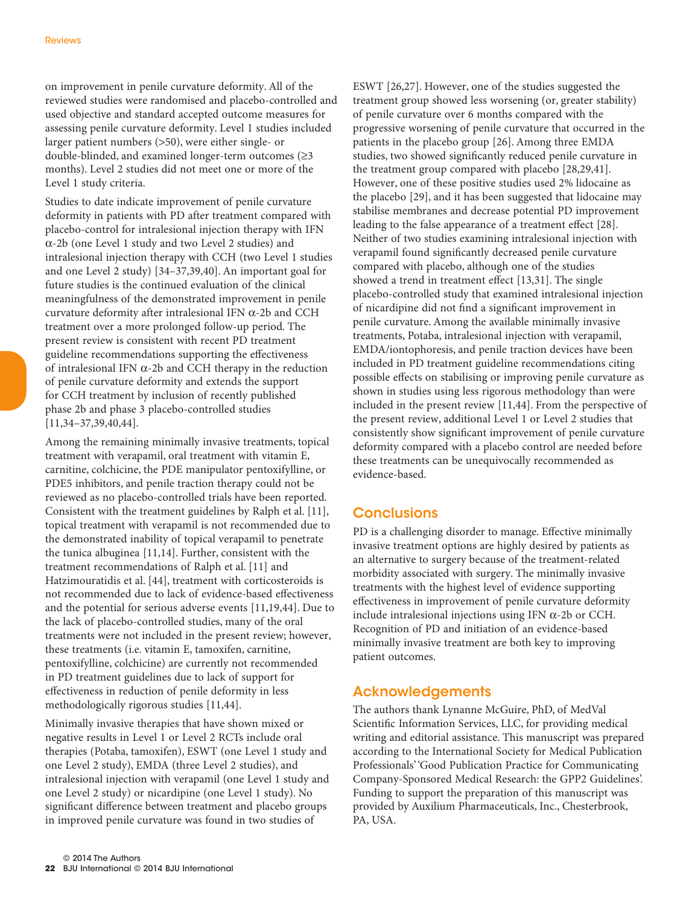on improvement in penile curvature deformity. All of the reviewed studies were randomised and placebo-controlled and used objective and standard accepted outcome measures for assessing penile curvature deformity. Level 1 studies included larger patient numbers (>50), were either single- or double-blinded, and examined longer-term outcomes (≥3 months). Level 2 studies did not meet one or more of the Level 1 study criteria.

Studies to date indicate improvement of penile curvature deformity in patients with PD after treatment compared with placebo-control for intralesional injection therapy with IFN α-2b (one Level 1 study and two Level 2 studies) and intralesional injection therapy with CCH (two Level 1 studies and one Level 2 study) [34–37,39,40]. An important goal for future studies is the continued evaluation of the clinical meaningfulness of the demonstrated improvement in penile curvature deformity after intralesional IFN α-2b and CCH treatment over a more prolonged follow-up period. The present review is consistent with recent PD treatment guideline recommendations supporting the effectiveness of intralesional IFN α-2b and CCH therapy in the reduction of penile curvature deformity and extends the support for CCH treatment by inclusion of recently published phase 2b and phase 3 placebo-controlled studies [11,34–37,39,40,44].

Among the remaining minimally invasive treatments, topical treatment with verapamil, oral treatment with vitamin E, carnitine, colchicine, the PDE manipulator pentoxifylline, or PDE5 inhibitors, and penile traction therapy could not be reviewed as no placebo-controlled trials have been reported. Consistent with the treatment guidelines by Ralph et al. [11], topical treatment with verapamil is not recommended due to the demonstrated inability of topical verapamil to penetrate the tunica albuginea [11,14]. Further, consistent with the treatment recommendations of Ralph et al. [11] and Hatzimouratidis et al. [44], treatment with corticosteroids is not recommended due to lack of evidence-based effectiveness and the potential for serious adverse events [11,19,44]. Due to the lack of placebo-controlled studies, many of the oral treatments were not included in the present review; however, these treatments (i.e. vitamin E, tamoxifen, carnitine, pentoxifylline, colchicine) are currently not recommended in PD treatment guidelines due to lack of support for effectiveness in reduction of penile deformity in less methodologically rigorous studies [11,44].

Minimally invasive therapies that have shown mixed or negative results in Level 1 or Level 2 RCTs include oral therapies (Potaba, tamoxifen), ESWT (one Level 1 study and one Level 2 study), EMDA (three Level 2 studies), and intralesional injection with verapamil (one Level 1 study and one Level 2 study) or nicardipine (one Level 1 study). No significant difference between treatment and placebo groups in improved penile curvature was found in two studies of

ESWT [26,27]. However, one of the studies suggested the treatment group showed less worsening (or, greater stability) of penile curvature over 6 months compared with the progressive worsening of penile curvature that occurred in the patients in the placebo group [26]. Among three EMDA studies, two showed significantly reduced penile curvature in the treatment group compared with placebo [28,29,41]. However, one of these positive studies used 2% lidocaine as the placebo [29], and it has been suggested that lidocaine may stabilise membranes and decrease potential PD improvement leading to the false appearance of a treatment effect [28]. Neither of two studies examining intralesional injection with verapamil found significantly decreased penile curvature compared with placebo, although one of the studies showed a trend in treatment effect [13,31]. The single placebo-controlled study that examined intralesional injection of nicardipine did not find a significant improvement in penile curvature. Among the available minimally invasive treatments, Potaba, intralesional injection with verapamil, EMDA/iontophoresis, and penile traction devices have been included in PD treatment guideline recommendations citing possible effects on stabilising or improving penile curvature as shown in studies using less rigorous methodology than were included in the present review [11,44]. From the perspective of the present review, additional Level 1 or Level 2 studies that consistently show significant improvement of penile curvature deformity compared with a placebo control are needed before these treatments can be unequivocally recommended as evidence-based.

## **Conclusions**

PD is a challenging disorder to manage. Effective minimally invasive treatment options are highly desired by patients as an alternative to surgery because of the treatment-related morbidity associated with surgery. The minimally invasive treatments with the highest level of evidence supporting effectiveness in improvement of penile curvature deformity include intralesional injections using IFN α-2b or CCH. Recognition of PD and initiation of an evidence-based minimally invasive treatment are both key to improving patient outcomes.

## Acknowledgements

The authors thank Lynanne McGuire, PhD, of MedVal Scientific Information Services, LLC, for providing medical writing and editorial assistance. This manuscript was prepared according to the International Society for Medical Publication Professionals' 'Good Publication Practice for Communicating Company-Sponsored Medical Research: the GPP2 Guidelines'. Funding to support the preparation of this manuscript was provided by Auxilium Pharmaceuticals, Inc., Chesterbrook, PA, USA.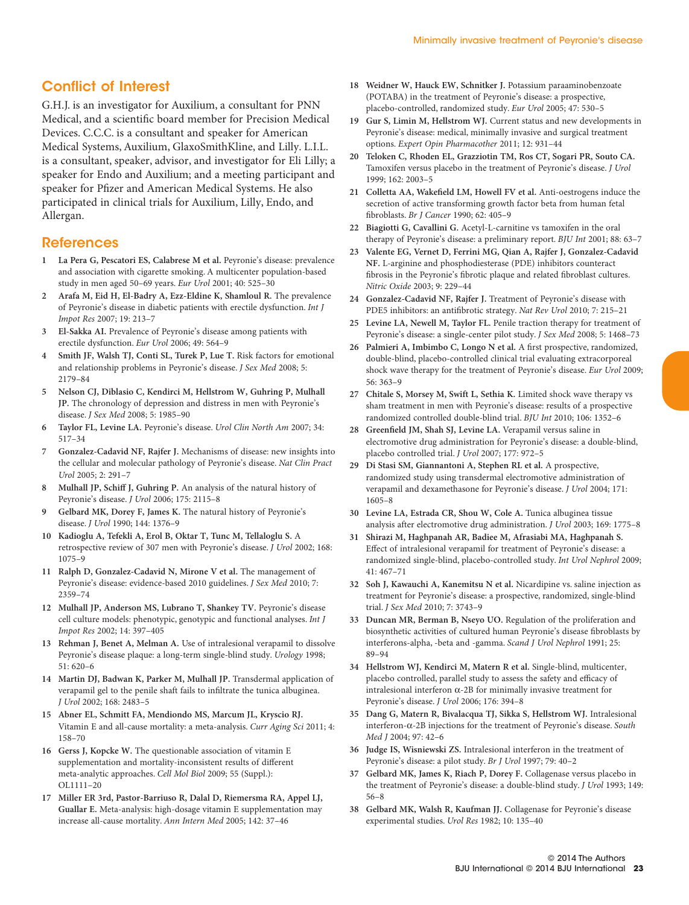## Conflict of Interest

G.H.J. is an investigator for Auxilium, a consultant for PNN Medical, and a scientific board member for Precision Medical Devices. C.C.C. is a consultant and speaker for American Medical Systems, Auxilium, GlaxoSmithKline, and Lilly. L.I.L. is a consultant, speaker, advisor, and investigator for Eli Lilly; a speaker for Endo and Auxilium; and a meeting participant and speaker for Pfizer and American Medical Systems. He also participated in clinical trials for Auxilium, Lilly, Endo, and Allergan.

#### References

- **1 La Pera G, Pescatori ES, Calabrese M et al.** Peyronie's disease: prevalence and association with cigarette smoking. A multicenter population-based study in men aged 50–69 years. *Eur Urol* 2001; 40: 525–30
- **2 Arafa M, Eid H, El-Badry A, Ezz-Eldine K, Shamloul R.** The prevalence of Peyronie's disease in diabetic patients with erectile dysfunction. *Int J Impot Res* 2007; 19: 213–7
- **3 El-Sakka AI.** Prevalence of Peyronie's disease among patients with erectile dysfunction. *Eur Urol* 2006; 49: 564–9
- **4 Smith JF, Walsh TJ, Conti SL, Turek P, Lue T.** Risk factors for emotional and relationship problems in Peyronie's disease. *J Sex Med* 2008; 5: 2179–84
- **5 Nelson CJ, Diblasio C, Kendirci M, Hellstrom W, Guhring P, Mulhall JP.** The chronology of depression and distress in men with Peyronie's disease. *J Sex Med* 2008; 5: 1985–90
- **6 Taylor FL, Levine LA.** Peyronie's disease. *Urol Clin North Am* 2007; 34: 517–34
- **7 Gonzalez-Cadavid NF, Rajfer J.** Mechanisms of disease: new insights into the cellular and molecular pathology of Peyronie's disease. *Nat Clin Pract Urol* 2005; 2: 291–7
- **8 Mulhall JP, Schiff J, Guhring P.** An analysis of the natural history of Peyronie's disease. *J Urol* 2006; 175: 2115–8
- **9 Gelbard MK, Dorey F, James K.** The natural history of Peyronie's disease. *J Urol* 1990; 144: 1376–9
- **10 Kadioglu A, Tefekli A, Erol B, Oktar T, Tunc M, Tellaloglu S.** A retrospective review of 307 men with Peyronie's disease. *J Urol* 2002; 168: 1075–9
- **11 Ralph D, Gonzalez-Cadavid N, Mirone V et al.** The management of Peyronie's disease: evidence-based 2010 guidelines. *J Sex Med* 2010; 7: 2359–74
- **12 Mulhall JP, Anderson MS, Lubrano T, Shankey TV.** Peyronie's disease cell culture models: phenotypic, genotypic and functional analyses. *Int J Impot Res* 2002; 14: 397–405
- **13 Rehman J, Benet A, Melman A.** Use of intralesional verapamil to dissolve Peyronie's disease plaque: a long-term single-blind study. *Urology* 1998; 51: 620–6
- **14 Martin DJ, Badwan K, Parker M, Mulhall JP.** Transdermal application of verapamil gel to the penile shaft fails to infiltrate the tunica albuginea. *J Urol* 2002; 168: 2483–5
- **15 Abner EL, Schmitt FA, Mendiondo MS, Marcum JL, Kryscio RJ.** Vitamin E and all-cause mortality: a meta-analysis. *Curr Aging Sci* 2011; 4: 158–70
- **16 Gerss J, Kopcke W.** The questionable association of vitamin E supplementation and mortality-inconsistent results of different meta-analytic approaches. *Cell Mol Biol* 2009; 55 (Suppl.): OL1111–20
- **17 Miller ER 3rd, Pastor-Barriuso R, Dalal D, Riemersma RA, Appel LJ, Guallar E.** Meta-analysis: high-dosage vitamin E supplementation may increase all-cause mortality. *Ann Intern Med* 2005; 142: 37–46
- **18 Weidner W, Hauck EW, Schnitker J.** Potassium paraaminobenzoate (POTABA) in the treatment of Peyronie's disease: a prospective, placebo-controlled, randomized study. *Eur Urol* 2005; 47: 530–5
- **19 Gur S, Limin M, Hellstrom WJ.** Current status and new developments in Peyronie's disease: medical, minimally invasive and surgical treatment options. *Expert Opin Pharmacother* 2011; 12: 931–44
- **20 Teloken C, Rhoden EL, Grazziotin TM, Ros CT, Sogari PR, Souto CA.** Tamoxifen versus placebo in the treatment of Peyronie's disease. *J Urol* 1999; 162: 2003–5
- **21 Colletta AA, Wakefield LM, Howell FV et al.** Anti-oestrogens induce the secretion of active transforming growth factor beta from human fetal fibroblasts. *Br J Cancer* 1990; 62: 405–9
- **22 Biagiotti G, Cavallini G.** Acetyl-L-carnitine vs tamoxifen in the oral therapy of Peyronie's disease: a preliminary report. *BJU Int* 2001; 88: 63–7
- **23 Valente EG, Vernet D, Ferrini MG, Qian A, Rajfer J, Gonzalez-Cadavid NF.** L-arginine and phosphodiesterase (PDE) inhibitors counteract fibrosis in the Peyronie's fibrotic plaque and related fibroblast cultures. *Nitric Oxide* 2003; 9: 229–44
- **24 Gonzalez-Cadavid NF, Rajfer J.** Treatment of Peyronie's disease with PDE5 inhibitors: an antifibrotic strategy. *Nat Rev Urol* 2010; 7: 215–21
- **25 Levine LA, Newell M, Taylor FL.** Penile traction therapy for treatment of Peyronie's disease: a single-center pilot study. *J Sex Med* 2008; 5: 1468–73
- **26 Palmieri A, Imbimbo C, Longo N et al.** A first prospective, randomized, double-blind, placebo-controlled clinical trial evaluating extracorporeal shock wave therapy for the treatment of Peyronie's disease. *Eur Urol* 2009; 56: 363–9
- **27 Chitale S, Morsey M, Swift L, Sethia K.** Limited shock wave therapy vs sham treatment in men with Peyronie's disease: results of a prospective randomized controlled double-blind trial. *BJU Int* 2010; 106: 1352–6
- **28 Greenfield JM, Shah SJ, Levine LA.** Verapamil versus saline in electromotive drug administration for Peyronie's disease: a double-blind, placebo controlled trial. *J Urol* 2007; 177: 972–5
- **29 Di Stasi SM, Giannantoni A, Stephen RL et al.** A prospective, randomized study using transdermal electromotive administration of verapamil and dexamethasone for Peyronie's disease. *J Urol* 2004; 171: 1605–8
- **30 Levine LA, Estrada CR, Shou W, Cole A.** Tunica albuginea tissue analysis after electromotive drug administration. *J Urol* 2003; 169: 1775–8
- **31 Shirazi M, Haghpanah AR, Badiee M, Afrasiabi MA, Haghpanah S.** Effect of intralesional verapamil for treatment of Peyronie's disease: a randomized single-blind, placebo-controlled study. *Int Urol Nephrol* 2009; 41: 467–71
- **32 Soh J, Kawauchi A, Kanemitsu N et al.** Nicardipine vs. saline injection as treatment for Peyronie's disease: a prospective, randomized, single-blind trial. *J Sex Med* 2010; 7: 3743–9
- **33 Duncan MR, Berman B, Nseyo UO.** Regulation of the proliferation and biosynthetic activities of cultured human Peyronie's disease fibroblasts by interferons-alpha, -beta and -gamma. *Scand J Urol Nephrol* 1991; 25: 89–94
- **34 Hellstrom WJ, Kendirci M, Matern R et al.** Single-blind, multicenter, placebo controlled, parallel study to assess the safety and efficacy of intralesional interferon  $\alpha$ -2B for minimally invasive treatment for Peyronie's disease. *J Urol* 2006; 176: 394–8
- **35 Dang G, Matern R, Bivalacqua TJ, Sikka S, Hellstrom WJ.** Intralesional interferon-α-2B injections for the treatment of Peyronie's disease. *South Med J* 2004; 97: 42–6
- **36 Judge IS, Wisniewski ZS.** Intralesional interferon in the treatment of Peyronie's disease: a pilot study. *Br J Urol* 1997; 79: 40–2
- **37 Gelbard MK, James K, Riach P, Dorey F.** Collagenase versus placebo in the treatment of Peyronie's disease: a double-blind study. *J Urol* 1993; 149: 56–8
- **38 Gelbard MK, Walsh R, Kaufman JJ.** Collagenase for Peyronie's disease experimental studies. *Urol Res* 1982; 10: 135–40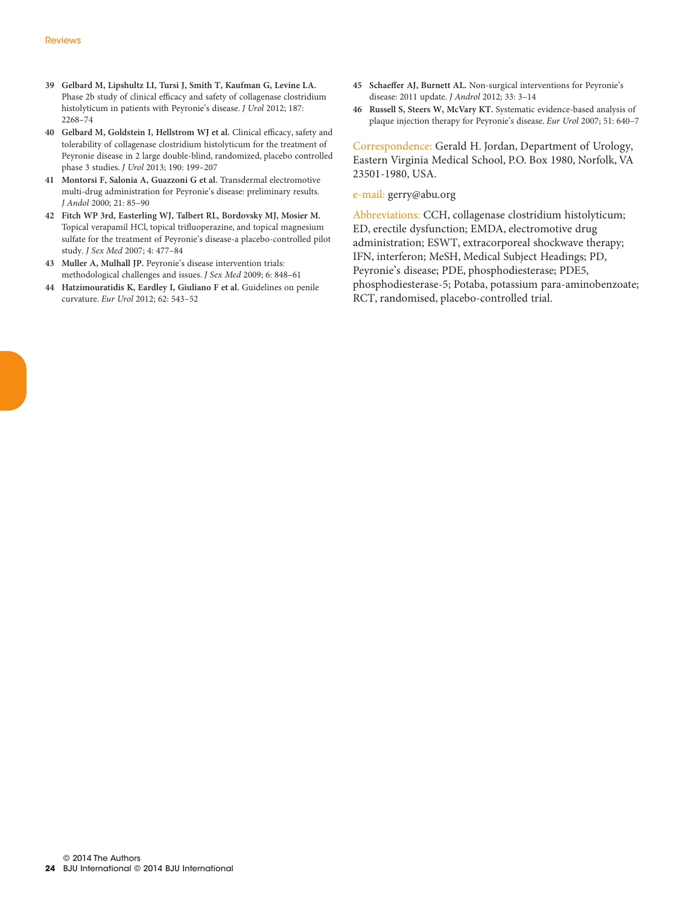- **39 Gelbard M, Lipshultz LI, Tursi J, Smith T, Kaufman G, Levine LA.** Phase 2b study of clinical efficacy and safety of collagenase clostridium histolyticum in patients with Peyronie's disease. *J Urol* 2012; 187: 2268–74
- **40 Gelbard M, Goldstein I, Hellstrom WJ et al.** Clinical efficacy, safety and tolerability of collagenase clostridium histolyticum for the treatment of Peyronie disease in 2 large double-blind, randomized, placebo controlled phase 3 studies. *J Urol* 2013; 190: 199–207
- **41 Montorsi F, Salonia A, Guazzoni G et al.** Transdermal electromotive multi-drug administration for Peyronie's disease: preliminary results. *J Andol* 2000; 21: 85–90
- **42 Fitch WP 3rd, Easterling WJ, Talbert RL, Bordovsky MJ, Mosier M.** Topical verapamil HCl, topical trifluoperazine, and topical magnesium sulfate for the treatment of Peyronie's disease-a placebo-controlled pilot study. *J Sex Med* 2007; 4: 477–84
- **43 Muller A, Mulhall JP.** Peyronie's disease intervention trials: methodological challenges and issues. *J Sex Med* 2009; 6: 848–61
- **44 Hatzimouratidis K, Eardley I, Giuliano F et al.** Guidelines on penile curvature. *Eur Urol* 2012; 62: 543–52
- **45 Schaeffer AJ, Burnett AL.** Non-surgical interventions for Peyronie's disease: 2011 update. *J Androl* 2012; 33: 3–14
- **46 Russell S, Steers W, McVary KT.** Systematic evidence-based analysis of plaque injection therapy for Peyronie's disease. *Eur Urol* 2007; 51: 640–7

Correspondence: Gerald H. Jordan, Department of Urology, Eastern Virginia Medical School, P.O. Box 1980, Norfolk, VA 23501-1980, USA.

#### e-mail: gerry@abu.org

Abbreviations: CCH, collagenase clostridium histolyticum; ED, erectile dysfunction; EMDA, electromotive drug administration; ESWT, extracorporeal shockwave therapy; IFN, interferon; MeSH, Medical Subject Headings; PD, Peyronie's disease; PDE, phosphodiesterase; PDE5, phosphodiesterase-5; Potaba, potassium para-aminobenzoate; RCT, randomised, placebo-controlled trial.